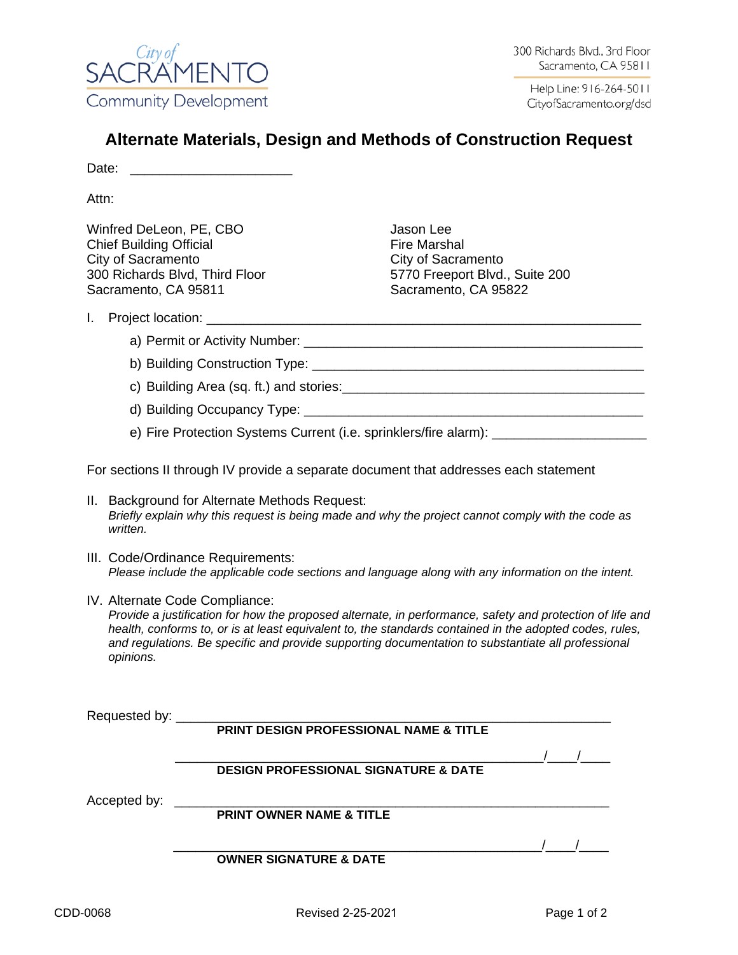

# **Alternate Materials, Design and Methods of Construction Request**

Date: \_\_\_\_\_\_\_\_\_\_\_\_\_\_\_\_\_\_\_\_\_\_

Attn:

Winfred DeLeon, PE, CBO Jason Lee Chief Building Official **Fire Marshal** City of Sacramento City of Sacramento 300 Richards Blvd, Third Floor 5770 Freeport Blvd., Suite 200 Sacramento, CA 95811 Sacramento, CA 95822

#### I. Project location:

- a) Permit or Activity Number: **We are all that the end of the end of the end of the end of the end** of the end of
- b) Building Construction Type: \_\_\_\_\_\_\_\_\_\_\_\_\_\_\_\_\_\_\_\_\_\_\_\_\_\_\_\_\_\_\_\_\_\_\_\_\_\_\_\_\_\_\_\_\_
- c) Building Area (sq. ft.) and stories:
- d) Building Occupancy Type: \_\_\_\_\_\_\_\_\_\_\_\_\_\_\_\_\_\_\_\_\_\_\_\_\_\_\_\_\_\_\_\_\_\_\_\_\_\_\_\_\_\_\_\_\_\_
- e) Fire Protection Systems Current (i.e. sprinklers/fire alarm):

For sections II through IV provide a separate document that addresses each statement

- II. Background for Alternate Methods Request: *Briefly explain why this request is being made and why the project cannot comply with the code as written.*
- III. Code/Ordinance Requirements: *Please include the applicable code sections and language along with any information on the intent.*
- IV. Alternate Code Compliance: *Provide a justification for how the proposed alternate, in performance, safety and protection of life and health, conforms to, or is at least equivalent to, the standards contained in the adopted codes, rules, and regulations. Be specific and provide supporting documentation to substantiate all professional opinions.*

Requested by: \_\_\_\_\_\_\_\_\_\_\_\_\_\_\_\_\_\_\_\_\_\_\_\_\_\_\_\_\_\_\_\_\_\_\_\_\_\_\_\_\_\_\_\_\_\_\_\_\_\_\_\_\_\_\_\_\_\_\_

### **PRINT DESIGN PROFESSIONAL NAME & TITLE**

**DESIGN PROFESSIONAL SIGNATURE & DATE**

Accepted by: \_\_\_\_\_\_\_\_\_\_\_\_\_\_\_\_\_\_\_\_\_\_\_\_\_\_\_\_\_\_\_\_\_\_\_\_\_\_\_\_\_\_\_\_\_\_\_\_\_\_\_\_\_\_\_\_\_\_\_

**PRINT OWNER NAME & TITLE**

### **OWNER SIGNATURE & DATE**

 $\frac{1}{2}$   $\frac{1}{2}$   $\frac{1}{2}$   $\frac{1}{2}$   $\frac{1}{2}$   $\frac{1}{2}$   $\frac{1}{2}$   $\frac{1}{2}$   $\frac{1}{2}$   $\frac{1}{2}$   $\frac{1}{2}$   $\frac{1}{2}$   $\frac{1}{2}$   $\frac{1}{2}$   $\frac{1}{2}$   $\frac{1}{2}$   $\frac{1}{2}$   $\frac{1}{2}$   $\frac{1}{2}$   $\frac{1}{2}$   $\frac{1}{2}$   $\frac{1}{2}$ 

\_\_\_\_\_\_\_\_\_\_\_\_\_\_\_\_\_\_\_\_\_\_\_\_\_\_\_\_\_\_\_\_\_\_\_\_\_\_\_\_\_\_\_\_\_\_\_\_\_\_/\_\_\_\_/\_\_\_\_